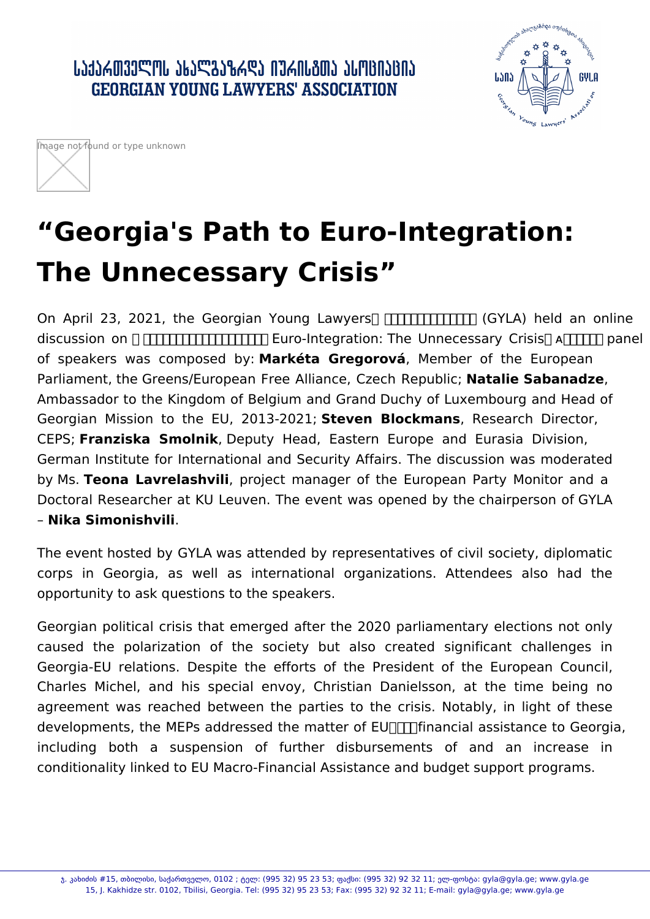## ᲡᲐᲥᲐᲠᲗᲕᲔᲚᲝᲡ ᲐᲮᲐᲚᲒᲐᲖᲠᲓᲐ ᲘᲣᲠᲘᲡᲒᲗᲐ ᲐᲡᲝᲪᲘᲐᲪᲘᲐ **GEORGIAN YOUNG LAWYERS' ASSOCIATION**





## **"Georgia's Path to Euro-Integration: The Unnecessary Crisis"**

On April 23, 2021, the Georgian Young Lawyers **THITHITH (GYLA)** held an online discussion on **THEFFITHETH Euro-Integration: The Unnecessary Crisis ANITE** panel of speakers was composed by: **Markéta Gregorová**, Member of the European Parliament, the Greens/European Free Alliance, Czech Republic; **Natalie Sabanadze**, Ambassador to the Kingdom of Belgium and Grand Duchy of Luxembourg and Head of Georgian Mission to the EU, 2013-2021; **Steven Blockmans**, Research Director, CEPS; **Franziska Smolnik**, Deputy Head, Eastern Europe and Eurasia Division, German Institute for International and Security Affairs. The discussion was moderated by Ms. **Teona Lavrelashvili**, project manager of the European Party Monitor and a Doctoral Researcher at KU Leuven. The event was opened by the chairperson of GYLA – **Nika Simonishvili**.

The event hosted by GYLA was attended by representatives of civil society, diplomatic corps in Georgia, as well as international organizations. Attendees also had the opportunity to ask questions to the speakers.

Georgian political crisis that emerged after the 2020 parliamentary elections not only caused the polarization of the society but also created significant challenges in Georgia-EU relations. Despite the efforts of the President of the European Council, Charles Michel, and his special envoy, Christian Danielsson, at the time being no agreement was reached between the parties to the crisis. Notably, in light of these developments, the MEPs addressed the matter of EU  $\Pi$  financial assistance to Georgia, including both a suspension of further disbursements of and an increase in conditionality linked to EU Macro-Financial Assistance and budget support programs.